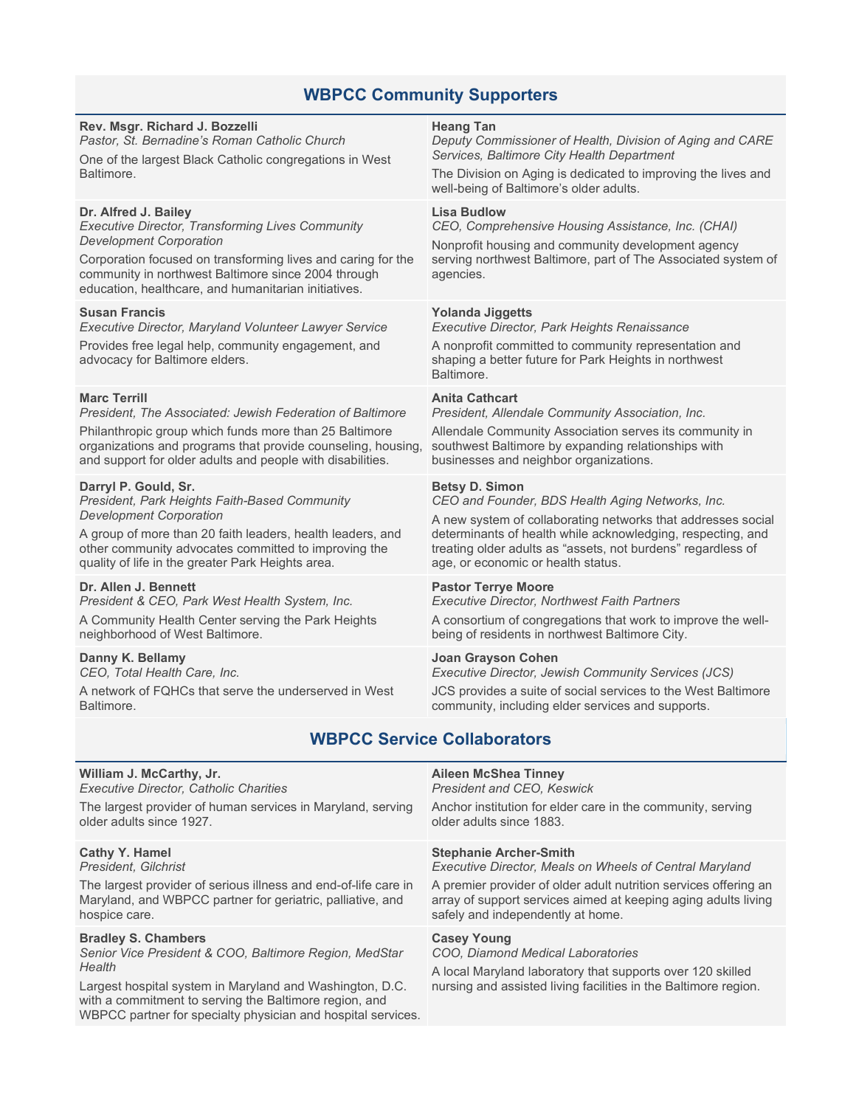# **WBPCC Community Supporters**

## **Rev. Msgr. Richard J. Bozzelli**

*Pastor, St. Bernadine's Roman Catholic Church*

One of the largest Black Catholic congregations in West **Baltimore** 

# **Dr. Alfred J. Bailey**

*Executive Director, Transforming Lives Community Development Corporation*

Corporation focused on transforming lives and caring for the community in northwest Baltimore since 2004 through education, healthcare, and humanitarian initiatives.

## **Susan Francis**

*Executive Director, Maryland Volunteer Lawyer Service* Provides free legal help, community engagement, and

advocacy for Baltimore elders.

# **Marc Terrill**

*President, The Associated: Jewish Federation of Baltimore*

Philanthropic group which funds more than 25 Baltimore organizations and programs that provide counseling, housing, and support for older adults and people with disabilities.

## **Darryl P. Gould, Sr.**

*President, Park Heights Faith-Based Community Development Corporation*

A group of more than 20 faith leaders, health leaders, and other community advocates committed to improving the quality of life in the greater Park Heights area.

#### **Dr. Allen J. Bennett**

*President & CEO, Park West Health System, Inc.*

A Community Health Center serving the Park Heights neighborhood of West Baltimore.

## **Danny K. Bellamy**

*CEO, Total Health Care, Inc.*

A network of FQHCs that serve the underserved in West Baltimore.

with a commitment to serving the Baltimore region, and WBPCC partner for specialty physician and hospital services.

#### **Heang Tan**

*Deputy Commissioner of Health, Division of Aging and CARE Services, Baltimore City Health Department*

The Division on Aging is dedicated to improving the lives and well-being of Baltimore's older adults.

## **Lisa Budlow**

*CEO, Comprehensive Housing Assistance, Inc. (CHAI)*

Nonprofit housing and community development agency serving northwest Baltimore, part of The Associated system of agencies.

## **Yolanda Jiggetts**

*Executive Director, Park Heights Renaissance*

A nonprofit committed to community representation and shaping a better future for Park Heights in northwest **Baltimore** 

## **Anita Cathcart**

*President, Allendale Community Association, Inc.*

Allendale Community Association serves its community in southwest Baltimore by expanding relationships with businesses and neighbor organizations.

## **Betsy D. Simon**

*CEO and Founder, BDS Health Aging Networks, Inc.*

A new system of collaborating networks that addresses social determinants of health while acknowledging, respecting, and treating older adults as "assets, not burdens" regardless of age, or economic or health status.

#### **Pastor Terrye Moore**

*Executive Director, Northwest Faith Partners*

A consortium of congregations that work to improve the wellbeing of residents in northwest Baltimore City.

## **Joan Grayson Cohen**

*Executive Director, Jewish Community Services (JCS)*

JCS provides a suite of social services to the West Baltimore community, including elder services and supports.

# **WBPCC Service Collaborators**

| William J. McCarthy, Jr.                                        | <b>Aileen McShea Tinney</b>                                      |
|-----------------------------------------------------------------|------------------------------------------------------------------|
| <b>Executive Director, Catholic Charities</b>                   | <b>President and CEO, Keswick</b>                                |
| The largest provider of human services in Maryland, serving     | Anchor institution for elder care in the community, serving      |
| older adults since 1927.                                        | older adults since 1883.                                         |
| <b>Cathy Y. Hamel</b>                                           | <b>Stephanie Archer-Smith</b>                                    |
| President, Gilchrist                                            | <b>Executive Director, Meals on Wheels of Central Maryland</b>   |
| The largest provider of serious illness and end-of-life care in | A premier provider of older adult nutrition services offering an |
| Maryland, and WBPCC partner for geriatric, palliative, and      | array of support services aimed at keeping aging adults living   |
| hospice care.                                                   | safely and independently at home.                                |
| <b>Bradley S. Chambers</b>                                      | <b>Casey Young</b>                                               |
| Senior Vice President & COO, Baltimore Region, MedStar          | COO, Diamond Medical Laboratories                                |
| Health                                                          | A local Maryland laboratory that supports over 120 skilled       |
| Largest hospital system in Maryland and Washington, D.C.        | nursing and assisted living facilities in the Baltimore region.  |